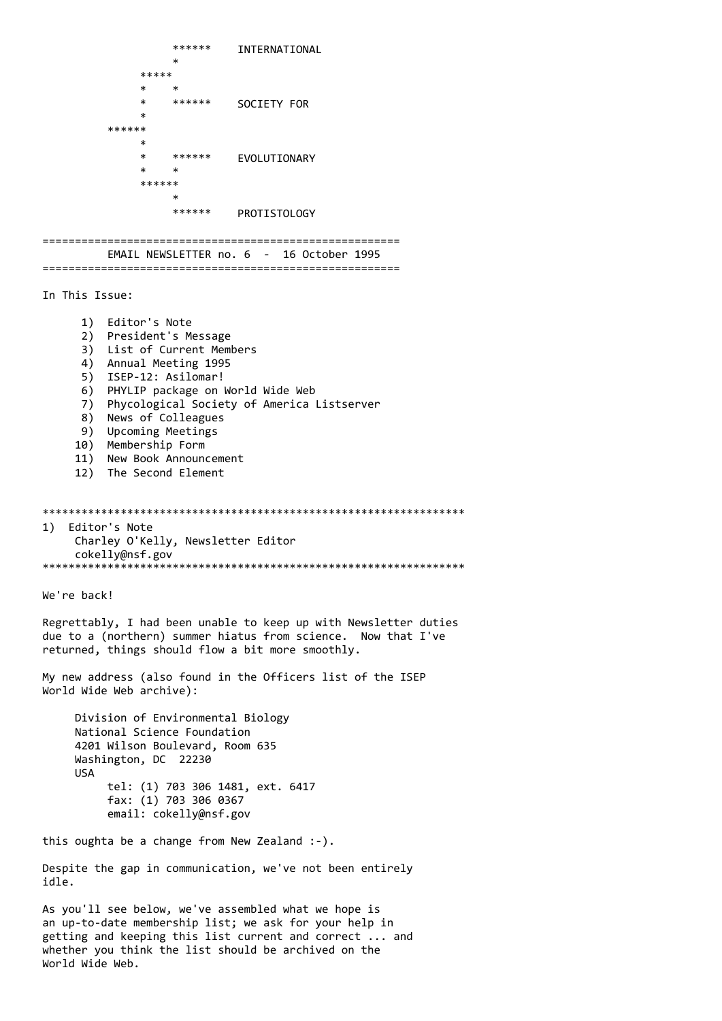```
******
                         INTERNATIONAL
                 \ast*****
             \ast\ast******
                          SOCIETY FOR
             \ast******
             \ast\ast******
                          EVOLUTIONARY
             \ast\ast******
                 ******
                         PROTISTOLOGY
    EMAIL NEWSLETTER no. 6 - 16 October 1995
 In This Issue:
     1) Editor's Note
     2) President's Message
     3) List of Current Members
     4) Annual Meeting 1995
     5) ISEP-12: Asilomar!
     6) PHYLIP package on World Wide Web
     7) Phycological Society of America Listserver
     8) News of Colleagues
     9) Upcoming Meetings
    10) Membership Form
    11) New Book Announcement
    12) The Second Element
1) Editor's Note
    Charley O'Kelly, Newsletter Editor
    cokelly@nsf.gov
We're back!
Regrettably, I had been unable to keep up with Newsletter duties
due to a (northern) summer hiatus from science. Now that I've
returned, things should flow a bit more smoothly.
My new address (also found in the Officers list of the ISEP
World Wide Web archive):
    Division of Environmental Biology
    National Science Foundation
    4201 Wilson Boulevard, Room 635
    Washington, DC 22230
    USA
        tel: (1) 703 306 1481, ext. 6417
        fax: (1) 703 306 0367
        email: cokelly@nsf.gov
this oughta be a change from New Zealand :-).
Despite the gap in communication, we've not been entirely
idle.
As you'll see below, we've assembled what we hope is
an up-to-date membership list; we ask for your help in
getting and keeping this list current and correct ... and
```
whether you think the list should be archived on the

World Wide Web.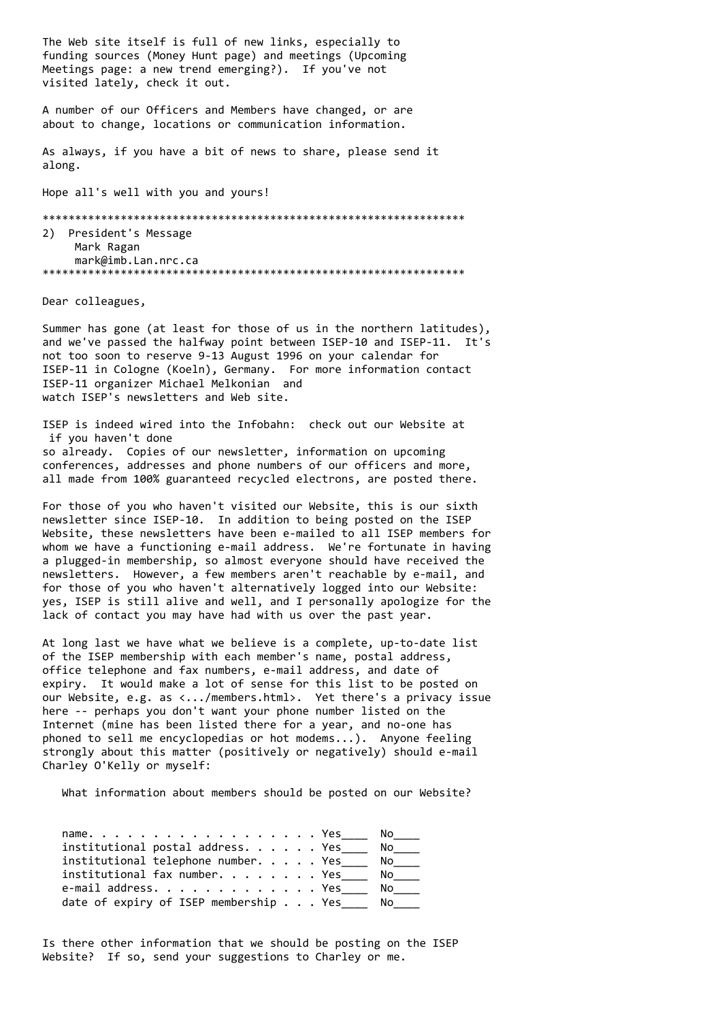The Web site itself is full of new links, especially to funding sources (Money Hunt page) and meetings (Upcoming Meetings page: a new trend emerging?). If you've not visited lately, check it out.

A number of our Officers and Members have changed, or are about to change, locations or communication information.

As always, if you have a bit of news to share, please send it along.

Hope all's well with you and yours!

\*\*\*\*\*\*\*\*\*\*\*\*\*\*\*\*\*\*\*\*\*\*\*\*\*\*\*\*\*\*\*\*\*\*\*\*\*\*\*\*\*\*\*\*\*\*\*\*\*\*\*\*\*\*\*\*\*\*\*\*\*\*\*\*\* 2) President's Message Mark Ragan mark@imb.Lan.nrc.ca \*\*\*\*\*\*\*\*\*\*\*\*\*\*\*\*\*\*\*\*\*\*\*\*\*\*\*\*\*\*\*\*\*\*\*\*\*\*\*\*\*\*\*\*\*\*\*\*\*\*\*\*\*\*\*\*\*\*\*\*\*\*\*\*\*

Dear colleagues,

Summer has gone (at least for those of us in the northern latitudes), and we've passed the halfway point between ISEP-10 and ISEP-11. It's not too soon to reserve 9-13 August 1996 on your calendar for ISEP-11 in Cologne (Koeln), Germany. For more information contact ISEP-11 organizer Michael Melkonian and watch ISEP's newsletters and Web site.

ISEP is indeed wired into the Infobahn: check out our Website at if you haven't done so already. Copies of our newsletter, information on upcoming conferences, addresses and phone numbers of our officers and more, all made from 100% guaranteed recycled electrons, are posted there.

For those of you who haven't visited our Website, this is our sixth newsletter since ISEP-10. In addition to being posted on the ISEP Website, these newsletters have been e-mailed to all ISEP members for whom we have a functioning e-mail address. We're fortunate in having a plugged-in membership, so almost everyone should have received the newsletters. However, a few members aren't reachable by e-mail, and for those of you who haven't alternatively logged into our Website: yes, ISEP is still alive and well, and I personally apologize for the lack of contact you may have had with us over the past year.

At long last we have what we believe is a complete, up-to-date list of the ISEP membership with each member's name, postal address, office telephone and fax numbers, e-mail address, and date of expiry. It would make a lot of sense for this list to be posted on our Website, e.g. as <.../members.html>. Yet there's a privacy issue here -- perhaps you don't want your phone number listed on the Internet (mine has been listed there for a year, and no-one has phoned to sell me encyclopedias or hot modems...). Anyone feeling strongly about this matter (positively or negatively) should e-mail Charley O'Kelly or myself:

What information about members should be posted on our Website?

| name. Yes                              |  | No l |
|----------------------------------------|--|------|
| institutional postal address. Yes      |  | No   |
| institutional telephone number. Yes    |  | No   |
| $\text{institutional}$ fax number. Yes |  | No l |
| e-mail address. Yes                    |  | No   |
| date of expiry of ISEP membership Yes  |  | No   |

Is there other information that we should be posting on the ISEP Website? If so, send your suggestions to Charley or me.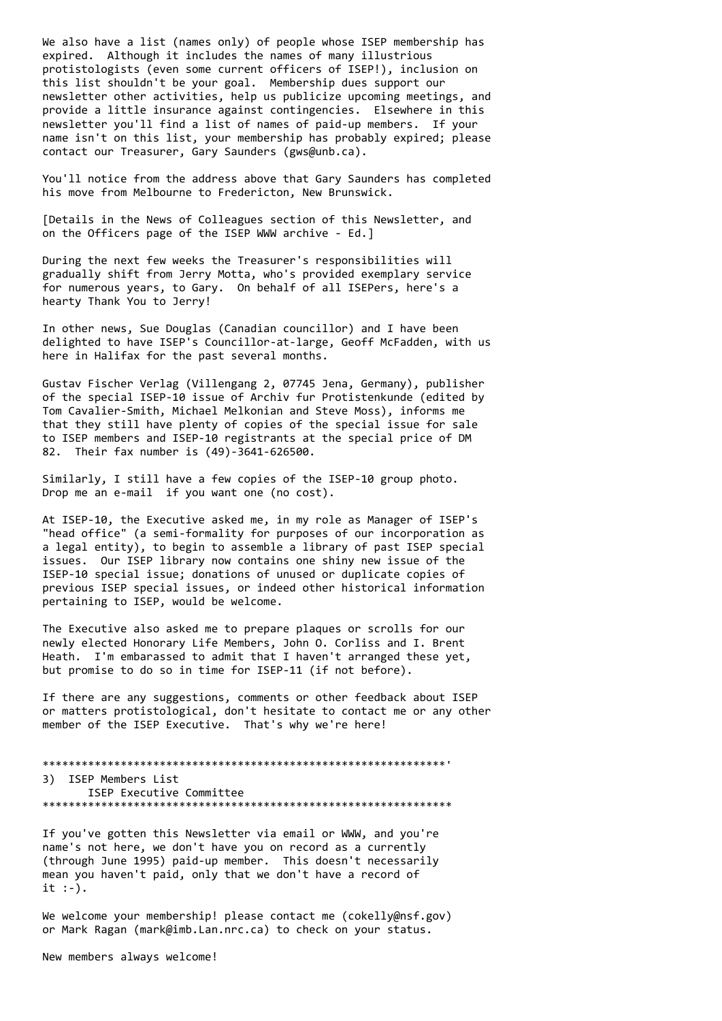We also have a list (names only) of people whose ISEP membership has expired. Although it includes the names of many illustrious protistologists (even some current officers of ISEP!), inclusion on this list shouldn't be your goal. Membership dues support our newsletter other activities, help us publicize upcoming meetings, and provide a little insurance against contingencies. Elsewhere in this newsletter you'll find a list of names of paid-up members. If your name isn't on this list, your membership has probably expired; please contact our Treasurer, Gary Saunders (gws@unb.ca).

You'll notice from the address above that Gary Saunders has completed his move from Melbourne to Fredericton, New Brunswick.

[Details in the News of Colleagues section of this Newsletter, and on the Officers page of the ISEP WWW archive - Ed.]

During the next few weeks the Treasurer's responsibilities will gradually shift from Jerry Motta, who's provided exemplary service for numerous years, to Gary. On behalf of all ISEPers, here's a hearty Thank You to Jerry!

In other news, Sue Douglas (Canadian councillor) and I have been delighted to have ISEP's Councillor-at-large, Geoff McFadden, with us here in Halifax for the past several months.

Gustav Fischer Verlag (Villengang 2, 07745 Jena, Germany), publisher of the special ISEP-10 issue of Archiv fur Protistenkunde (edited by Tom Cavalier-Smith, Michael Melkonian and Steve Moss), informs me that they still have plenty of copies of the special issue for sale to ISEP members and ISEP-10 registrants at the special price of DM 82. Their fax number is (49)-3641-626500.

Similarly, I still have a few copies of the ISEP-10 group photo. Drop me an e-mail if you want one (no cost).

At ISEP-10, the Executive asked me, in my role as Manager of ISEP's "head office" (a semi-formality for purposes of our incorporation as a legal entity), to begin to assemble a library of past ISEP special issues. Our ISEP library now contains one shiny new issue of the ISEP-10 special issue; donations of unused or duplicate copies of previous ISEP special issues, or indeed other historical information pertaining to ISEP, would be welcome.

The Executive also asked me to prepare plaques or scrolls for our newly elected Honorary Life Members, John O. Corliss and I. Brent Heath. I'm embarassed to admit that I haven't arranged these yet, but promise to do so in time for ISEP-11 (if not before).

If there are any suggestions, comments or other feedback about ISEP or matters protistological, don't hesitate to contact me or any other member of the ISEP Executive. That's why we're here!

\*\*\*\*\*\*\*\*\*\*\*\*\*\*\*\*\*\*\*\*\*\*\*\*\*\*\*\*\*\*\*\*\*\*\*\*\*\*\*\*\*\*\*\*\*\*\*\*\*\*\*\*\*\*\*\*\*\*\*\*\*\*' 3) ISEP Members List ISEP Executive Committee \*\*\*\*\*\*\*\*\*\*\*\*\*\*\*\*\*\*\*\*\*\*\*\*\*\*\*\*\*\*\*\*\*\*\*\*\*\*\*\*\*\*\*\*\*\*\*\*\*\*\*\*\*\*\*\*\*\*\*\*\*\*\*

If you've gotten this Newsletter via email or WWW, and you're name's not here, we don't have you on record as a currently (through June 1995) paid-up member. This doesn't necessarily mean you haven't paid, only that we don't have a record of it :-).

We welcome your membership! please contact me (cokelly@nsf.gov) or Mark Ragan (mark@imb.Lan.nrc.ca) to check on your status.

New members always welcome!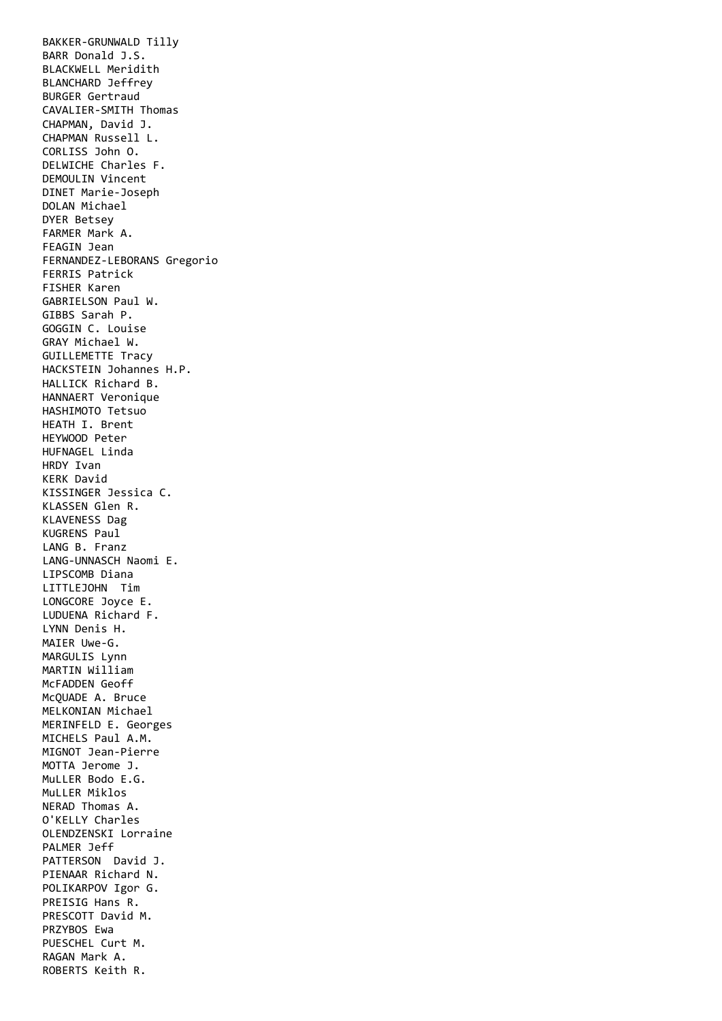BAKKER-GRUNWALD Tilly BARR Donald J.S. BLACKWELL Meridith BLANCHARD Jeffrey BURGER Gertraud CAVALIER-SMITH Thomas CHAPMAN, David J. CHAPMAN Russell L. CORLISS John O. DELWICHE Charles F. DEMOULIN Vincent DINET Marie-Joseph DOLAN Michael DYER Betsey FARMER Mark A. FEAGIN Jean FERNANDEZ-LEBORANS Gregorio FERRIS Patrick FISHER Karen GABRIELSON Paul W. GIBBS Sarah P. GOGGIN C. Louise GRAY Michael W. GUILLEMETTE Tracy HACKSTEIN Johannes H.P. HALLICK Richard B. HANNAERT Veronique HASHIMOTO Tetsuo HEATH I. Brent HEYWOOD Peter HUFNAGEL Linda HRDY Ivan KERK David KISSINGER Jessica C. KLASSEN Glen R. KLAVENESS Dag KUGRENS Paul LANG B. Franz LANG-UNNASCH Naomi E. LIPSCOMB Diana LITTLEJOHN Tim LONGCORE Joyce E. LUDUENA Richard F. LYNN Denis H. MAIER Uwe-G. MARGULIS Lynn MARTIN William McFADDEN Geoff McQUADE A. Bruce MELKONIAN Michael MERINFELD E. Georges MICHELS Paul A.M. MIGNOT Jean-Pierre MOTTA Jerome J. MuLLER Bodo E.G. MuLLER Miklos NERAD Thomas A. O'KELLY Charles OLENDZENSKI Lorraine PALMER Jeff PATTERSON David J. PIENAAR Richard N. POLIKARPOV Igor G. PREISIG Hans R. PRESCOTT David M. PRZYBOS Ewa PUESCHEL Curt M. RAGAN Mark A. ROBERTS Keith R.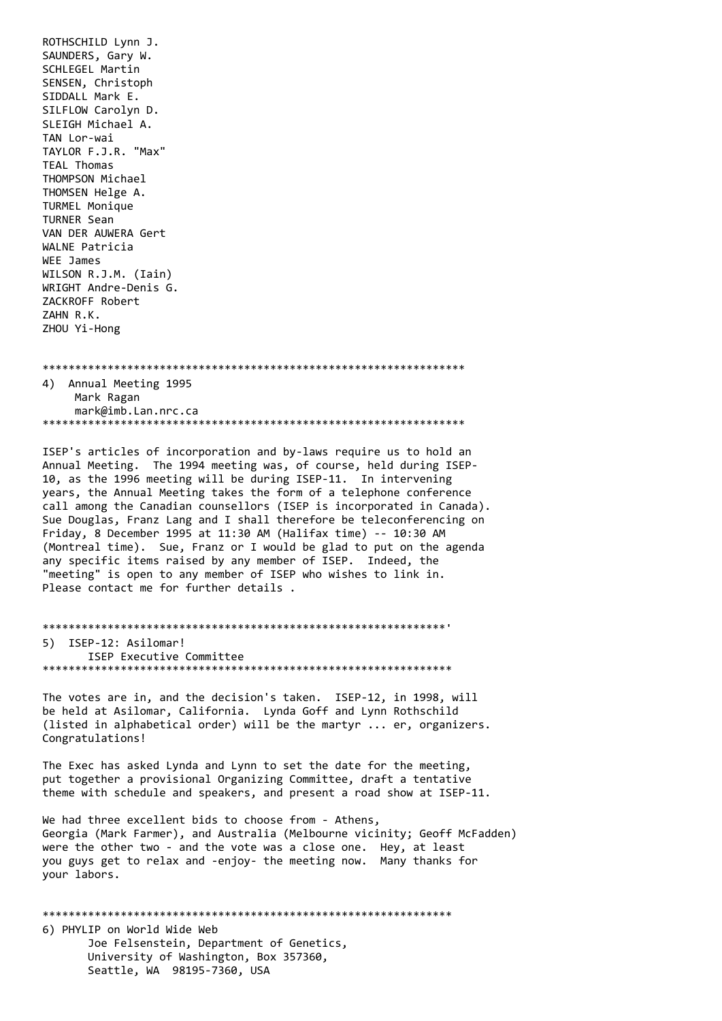ROTHSCHILD Lynn J. SAUNDERS, Gary W. SCHLEGEL Martin SENSEN, Christoph SIDDALL Mark E. SILFLOW Carolyn D. SLEIGH Michael A. TAN Lor-wai TAYLOR F.J.R. "Max" TEAL Thomas THOMPSON Michael THOMSEN Helge A. TURMEL Monique **TURNER Sean** VAN DER AUWERA Gert WALNE Patricia WEE James WILSON R.J.M. (Iain) WRIGHT Andre-Denis G. ZACKROFF Robert ZAHN R.K. ZHOU Yi-Hong

4) Annual Meeting 1995 Mark Ragan mark@imb.Lan.nrc.ca 

ISEP's articles of incorporation and by-laws require us to hold an Annual Meeting. The 1994 meeting was, of course, held during ISEP-10, as the 1996 meeting will be during ISEP-11. In intervening years, the Annual Meeting takes the form of a telephone conference call among the Canadian counsellors (ISEP is incorporated in Canada). Sue Douglas, Franz Lang and I shall therefore be teleconferencing on Friday, 8 December 1995 at 11:30 AM (Halifax time) -- 10:30 AM (Montreal time). Sue, Franz or I would be glad to put on the agenda any specific items raised by any member of ISEP. Indeed, the "meeting" is open to any member of ISEP who wishes to link in. Please contact me for further details.

```
5) ISEP-12: Asilomar!
 ISEP Executive Committee
```
The votes are in, and the decision's taken. ISEP-12, in 1998, will be held at Asilomar, California. Lynda Goff and Lynn Rothschild (listed in alphabetical order) will be the martyr ... er, organizers. Congratulations!

The Exec has asked Lynda and Lynn to set the date for the meeting, put together a provisional Organizing Committee, draft a tentative theme with schedule and speakers, and present a road show at ISEP-11.

We had three excellent bids to choose from - Athens, Georgia (Mark Farmer), and Australia (Melbourne vicinity; Geoff McFadden) were the other two - and the vote was a close one. Hey, at least you guys get to relax and -enjoy- the meeting now. Many thanks for vour labors.

6) PHYLIP on World Wide Web Joe Felsenstein, Department of Genetics, University of Washington, Box 357360, Seattle, WA 98195-7360, USA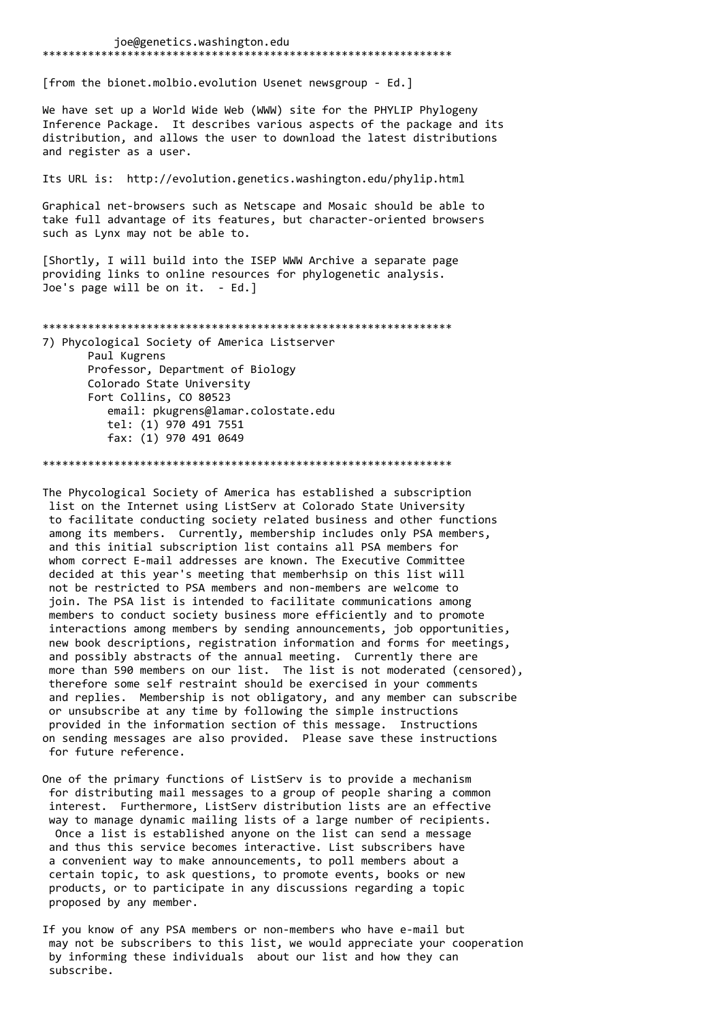joe@genetics.washington.edu [from the bionet.molbio.evolution Usenet newsgroup - Ed.] We have set up a World Wide Web (WWW) site for the PHYLIP Phylogeny Inference Package. It describes various aspects of the package and its distribution, and allows the user to download the latest distributions and register as a user. Its URL is: http://evolution.genetics.washington.edu/phylip.html Graphical net-browsers such as Netscape and Mosaic should be able to take full advantage of its features, but character-oriented browsers such as Lynx may not be able to. [Shortly, I will build into the ISEP WWW Archive a separate page providing links to online resources for phylogenetic analysis. Joe's page will be on it. - Ed.] 7) Phycological Society of America Listserver Paul Kugrens Professor, Department of Biology Colorado State University Fort Collins, CO 80523 email: pkugrens@lamar.colostate.edu tel: (1) 970 491 7551 fax: (1) 970 491 0649 

The Phycological Society of America has established a subscription list on the Internet using ListServ at Colorado State University to facilitate conducting society related business and other functions among its members. Currently, membership includes only PSA members, and this initial subscription list contains all PSA members for whom correct E-mail addresses are known. The Executive Committee decided at this year's meeting that memberhsip on this list will not be restricted to PSA members and non-members are welcome to join. The PSA list is intended to facilitate communications among members to conduct society business more efficiently and to promote interactions among members by sending announcements, job opportunities, new book descriptions, registration information and forms for meetings, and possibly abstracts of the annual meeting. Currently there are more than 590 members on our list. The list is not moderated (censored), therefore some self restraint should be exercised in your comments and replies. Membership is not obligatory, and any member can subscribe or unsubscribe at any time by following the simple instructions provided in the information section of this message. Instructions on sending messages are also provided. Please save these instructions for future reference.

One of the primary functions of ListSery is to provide a mechanism for distributing mail messages to a group of people sharing a common interest. Furthermore, ListServ distribution lists are an effective way to manage dynamic mailing lists of a large number of recipients. Once a list is established anyone on the list can send a message and thus this service becomes interactive. List subscribers have a convenient way to make announcements, to poll members about a certain topic, to ask questions, to promote events, books or new products, or to participate in any discussions regarding a topic proposed by any member.

If you know of any PSA members or non-members who have e-mail but may not be subscribers to this list, we would appreciate your cooperation by informing these individuals about our list and how they can subscribe.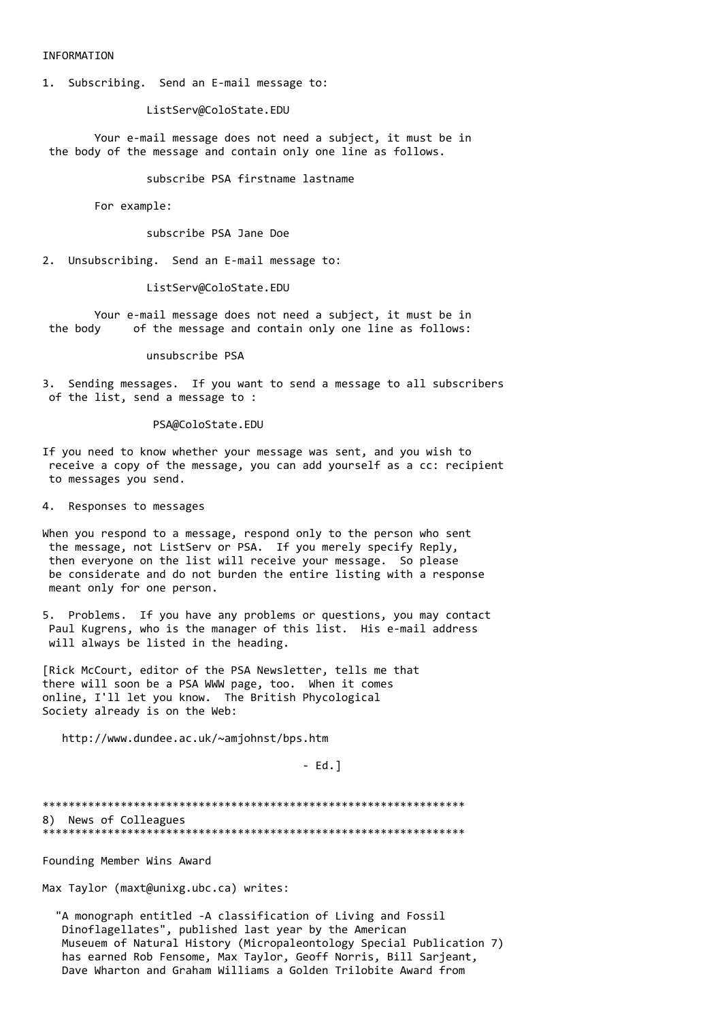## INFORMATION

1. Subscribing. Send an E-mail message to:

ListServ@ColoState.EDU

Your e-mail message does not need a subject, it must be in the body of the message and contain only one line as follows.

subscribe PSA firstname lastname

For example:

subscribe PSA Jane Doe

2. Unsubscribing. Send an E-mail message to:

ListServ@ColoState.EDU

Your e-mail message does not need a subject, it must be in of the message and contain only one line as follows: the body

unsubscribe PSA

3. Sending messages. If you want to send a message to all subscribers of the list, send a message to :

## PSA@ColoState.EDU

If you need to know whether your message was sent, and you wish to receive a copy of the message, you can add yourself as a cc: recipient to messages you send.

4. Responses to messages

When you respond to a message, respond only to the person who sent the message, not ListServ or PSA. If you merely specify Reply, then everyone on the list will receive your message. So please be considerate and do not burden the entire listing with a response meant only for one person.

5. Problems. If you have any problems or questions, you may contact Paul Kugrens, who is the manager of this list. His e-mail address will always be listed in the heading.

[Rick McCourt, editor of the PSA Newsletter, tells me that there will soon be a PSA WWW page, too. When it comes online, I'll let you know. The British Phycological Society already is on the Web:

http://www.dundee.ac.uk/~amiohnst/bps.htm

 $- Ed.1$ 

8) News of Colleagues 

Founding Member Wins Award

Max Taylor (maxt@unixg.ubc.ca) writes:

"A monograph entitled -A classification of Living and Fossil Dinoflagellates", published last year by the American Museuem of Natural History (Micropaleontology Special Publication 7) has earned Rob Fensome, Max Taylor, Geoff Norris, Bill Sarjeant, Dave Wharton and Graham Williams a Golden Trilobite Award from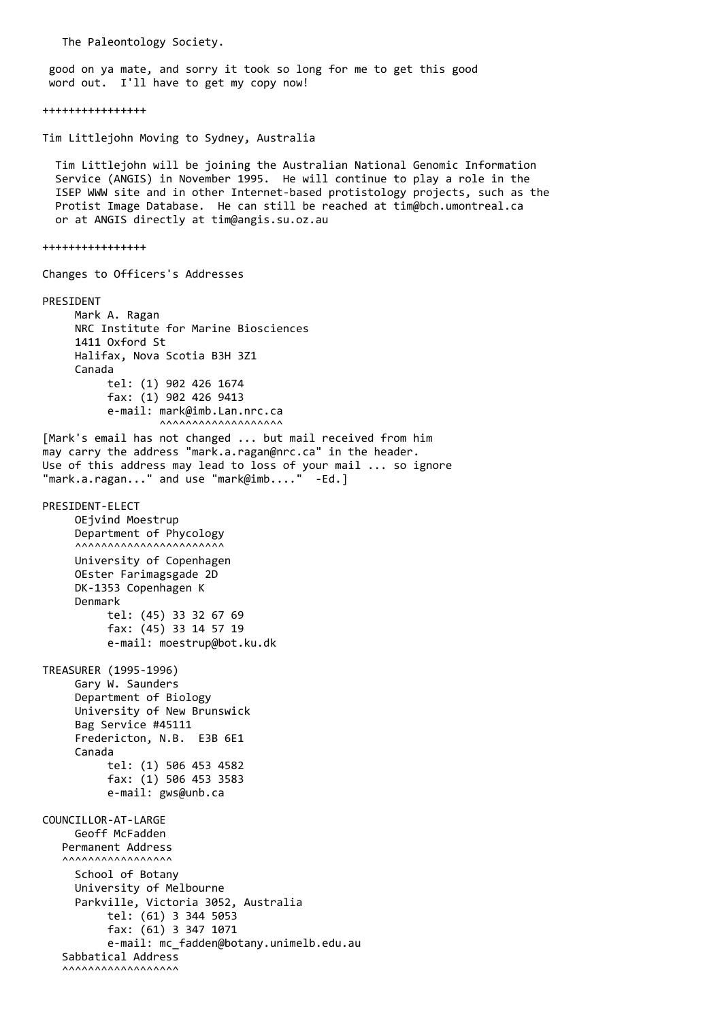The Paleontology Society.

 good on ya mate, and sorry it took so long for me to get this good word out. I'll have to get my copy now!

++++++++++++++++

Tim Littlejohn Moving to Sydney, Australia

 Tim Littlejohn will be joining the Australian National Genomic Information Service (ANGIS) in November 1995. He will continue to play a role in the ISEP WWW site and in other Internet-based protistology projects, such as the Protist Image Database. He can still be reached at tim@bch.umontreal.ca or at ANGIS directly at tim@angis.su.oz.au

++++++++++++++++

Changes to Officers's Addresses

PRESIDENT Mark A. Ragan NRC Institute for Marine Biosciences 1411 Oxford St Halifax, Nova Scotia B3H 3Z1 Canada tel: (1) 902 426 1674 fax: (1) 902 426 9413 e-mail: mark@imb.Lan.nrc.ca  $\lambda$ [Mark's email has not changed ... but mail received from him may carry the address "mark.a.ragan@nrc.ca" in the header. Use of this address may lead to loss of your mail ... so ignore "mark.a.ragan..." and use "mark@imb...." -Ed.] PRESIDENT-ELECT OEjvind Moestrup Department of Phycology ^^^^^^^^^^^^^^^^^^^^^^^ University of Copenhagen OEster Farimagsgade 2D DK-1353 Copenhagen K Denmark tel: (45) 33 32 67 69 fax: (45) 33 14 57 19 e-mail: moestrup@bot.ku.dk TREASURER (1995-1996) Gary W. Saunders Department of Biology University of New Brunswick Bag Service #45111 Fredericton, N.B. E3B 6E1 Canada tel: (1) 506 453 4582 fax: (1) 506 453 3583 e-mail: gws@unb.ca COUNCILLOR-AT-LARGE Geoff McFadden Permanent Address ^^^^^^^^^^^^^^^^^ School of Botany University of Melbourne Parkville, Victoria 3052, Australia tel: (61) 3 344 5053 fax: (61) 3 347 1071 e-mail: mc\_fadden@botany.unimelb.edu.au Sabbatical Address  $\lambda$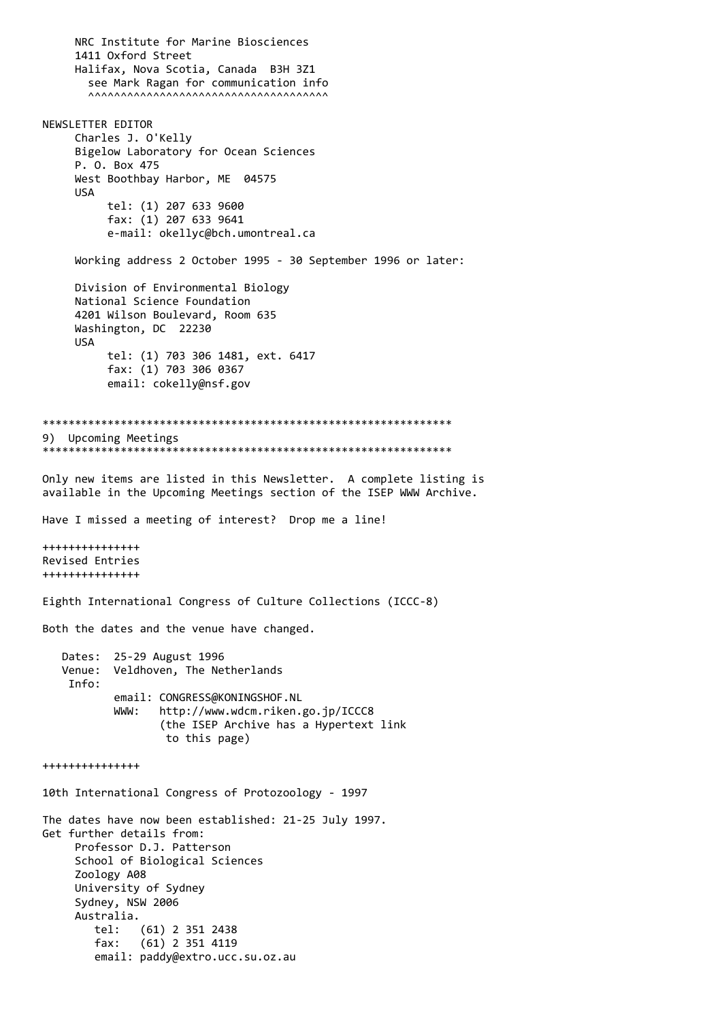NRC Institute for Marine Biosciences 1411 Oxford Street Halifax, Nova Scotia, Canada B3H 3Z1 see Mark Ragan for communication info ^^^^^^^^^^^^^^^^^^^^^^^^^^^^^^^^^^^^^ NEWSLETTER EDITOR Charles J. O'Kelly Bigelow Laboratory for Ocean Sciences P. O. Box 475 West Boothbay Harbor, ME 04575 USA tel: (1) 207 633 9600 fax: (1) 207 633 9641 e-mail: okellyc@bch.umontreal.ca Working address 2 October 1995 - 30 September 1996 or later: Division of Environmental Biology National Science Foundation 4201 Wilson Boulevard, Room 635 Washington, DC 22230 USA tel: (1) 703 306 1481, ext. 6417 fax: (1) 703 306 0367 email: cokelly@nsf.gov \*\*\*\*\*\*\*\*\*\*\*\*\*\*\*\*\*\*\*\*\*\*\*\*\*\*\*\*\*\*\*\*\*\*\*\*\*\*\*\*\*\*\*\*\*\*\*\*\*\*\*\*\*\*\*\*\*\*\*\*\*\*\* 9) Upcoming Meetings \*\*\*\*\*\*\*\*\*\*\*\*\*\*\*\*\*\*\*\*\*\*\*\*\*\*\*\*\*\*\*\*\*\*\*\*\*\*\*\*\*\*\*\*\*\*\*\*\*\*\*\*\*\*\*\*\*\*\*\*\*\*\* Only new items are listed in this Newsletter. A complete listing is available in the Upcoming Meetings section of the ISEP WWW Archive. Have I missed a meeting of interest? Drop me a line! +++++++++++++++ Revised Entries +++++++++++++++ Eighth International Congress of Culture Collections (ICCC-8) Both the dates and the venue have changed. Dates: 25-29 August 1996 Venue: Veldhoven, The Netherlands Info: email: CONGRESS@KONINGSHOF.NL WWW: http://www.wdcm.riken.go.jp/ICCC8 (the ISEP Archive has a Hypertext link to this page) +++++++++++++++ 10th International Congress of Protozoology - 1997 The dates have now been established: 21-25 July 1997. Get further details from: Professor D.J. Patterson School of Biological Sciences Zoology A08 University of Sydney Sydney, NSW 2006 Australia. tel: (61) 2 351 2438 fax: (61) 2 351 4119 email: paddy@extro.ucc.su.oz.au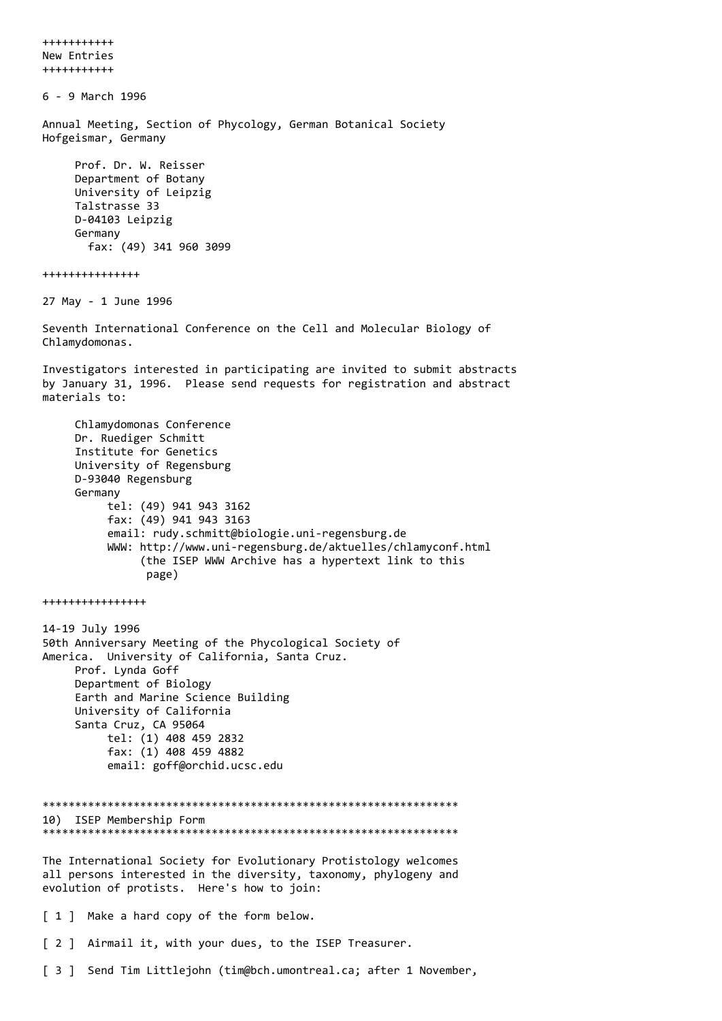+++++++++++ New Entries +++++++++++ 6 - 9 March 1996 Annual Meeting, Section of Phycology, German Botanical Society Hofgeismar, Germany Prof. Dr. W. Reisser Department of Botany University of Leipzig Talstrasse 33 D-04103 Leipzig Germany fax: (49) 341 960 3099 +++++++++++++++ 27 May - 1 June 1996 Seventh International Conference on the Cell and Molecular Biology of Chlamydomonas. Investigators interested in participating are invited to submit abstracts by January 31, 1996. Please send requests for registration and abstract materials to: Chlamydomonas Conference Dr. Ruediger Schmitt Institute for Genetics University of Regensburg D-93040 Regensburg Germany tel: (49) 941 943 3162 fax: (49) 941 943 3163 email: rudy.schmitt@biologie.uni-regensburg.de WWW: http://www.uni-regensburg.de/aktuelles/chlamyconf.html (the ISEP WWW Archive has a hypertext link to this page) ++++++++++++++++ 14-19 July 1996 50th Anniversary Meeting of the Phycological Society of America. University of California, Santa Cruz. Prof. Lynda Goff Department of Biology Earth and Marine Science Building University of California Santa Cruz, CA 95064 tel: (1) 408 459 2832 fax: (1) 408 459 4882 email: goff@orchid.ucsc.edu \*\*\*\*\*\*\*\*\*\*\*\*\*\*\*\*\*\*\*\*\*\*\*\*\*\*\*\*\*\*\*\*\*\*\*\*\*\*\*\*\*\*\*\*\*\*\*\*\*\*\*\*\*\*\*\*\*\*\*\*\*\*\*\* 10) ISEP Membership Form \*\*\*\*\*\*\*\*\*\*\*\*\*\*\*\*\*\*\*\*\*\*\*\*\*\*\*\*\*\*\*\*\*\*\*\*\*\*\*\*\*\*\*\*\*\*\*\*\*\*\*\*\*\*\*\*\*\*\*\*\*\*\*\* The International Society for Evolutionary Protistology welcomes all persons interested in the diversity, taxonomy, phylogeny and evolution of protists. Here's how to join: [ 1 ] Make a hard copy of the form below. [ 2 ] Airmail it, with your dues, to the ISEP Treasurer. [ 3 ] Send Tim Littlejohn (tim@bch.umontreal.ca; after 1 November,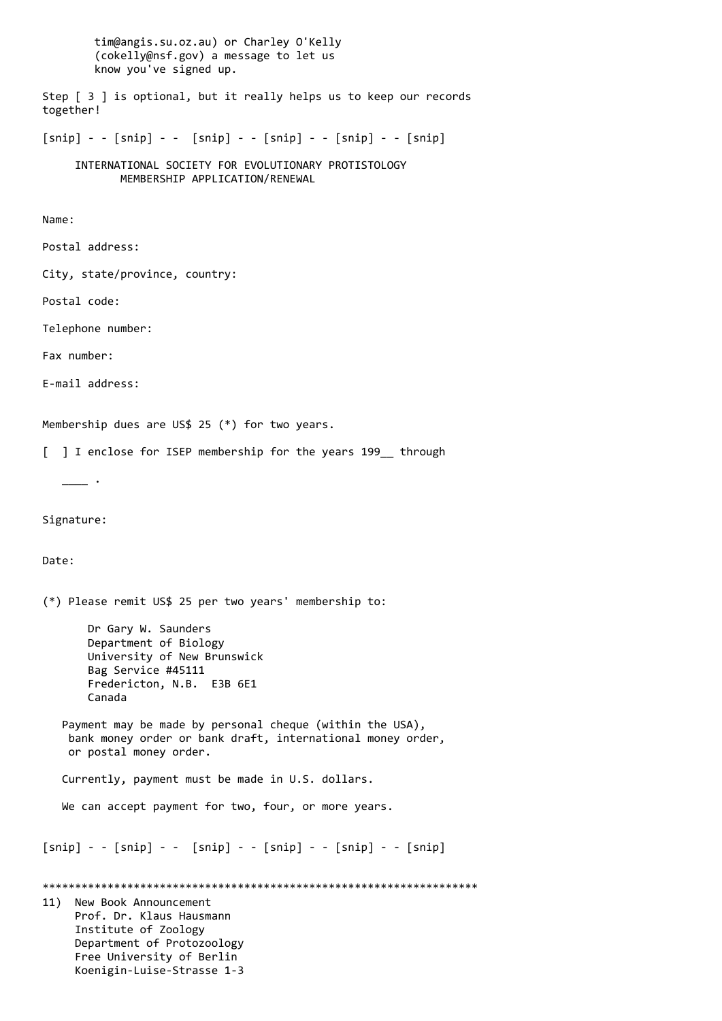tim@angis.su.oz.au) or Charley O'Kelly (cokelly@nsf.gov) a message to let us know you've signed up. Step [ 3 ] is optional, but it really helps us to keep our records together!  $[snip] - - [snip] - - [snip] - - [snip] - - [snip] - - [snip]$  INTERNATIONAL SOCIETY FOR EVOLUTIONARY PROTISTOLOGY MEMBERSHIP APPLICATION/RENEWAL Name: Postal address: City, state/province, country: Postal code: Telephone number: Fax number: E-mail address: Membership dues are US\$ 25 (\*) for two years. [ ] I enclose for ISEP membership for the years 199 through  $\overline{\phantom{a}}$ . Signature: Date: (\*) Please remit US\$ 25 per two years' membership to: Dr Gary W. Saunders Department of Biology University of New Brunswick Bag Service #45111 Fredericton, N.B. E3B 6E1 Canada Payment may be made by personal cheque (within the USA), bank money order or bank draft, international money order, or postal money order. Currently, payment must be made in U.S. dollars. We can accept payment for two, four, or more years.  $[snip] - - [snip] - - [snip] - - [snip] - - [snip] - - [snip]$ \*\*\*\*\*\*\*\*\*\*\*\*\*\*\*\*\*\*\*\*\*\*\*\*\*\*\*\*\*\*\*\*\*\*\*\*\*\*\*\*\*\*\*\*\*\*\*\*\*\*\*\*\*\*\*\*\*\*\*\*\*\*\*\*\*\*\* 11) New Book Announcement Prof. Dr. Klaus Hausmann Institute of Zoology Department of Protozoology Free University of Berlin Koenigin-Luise-Strasse 1-3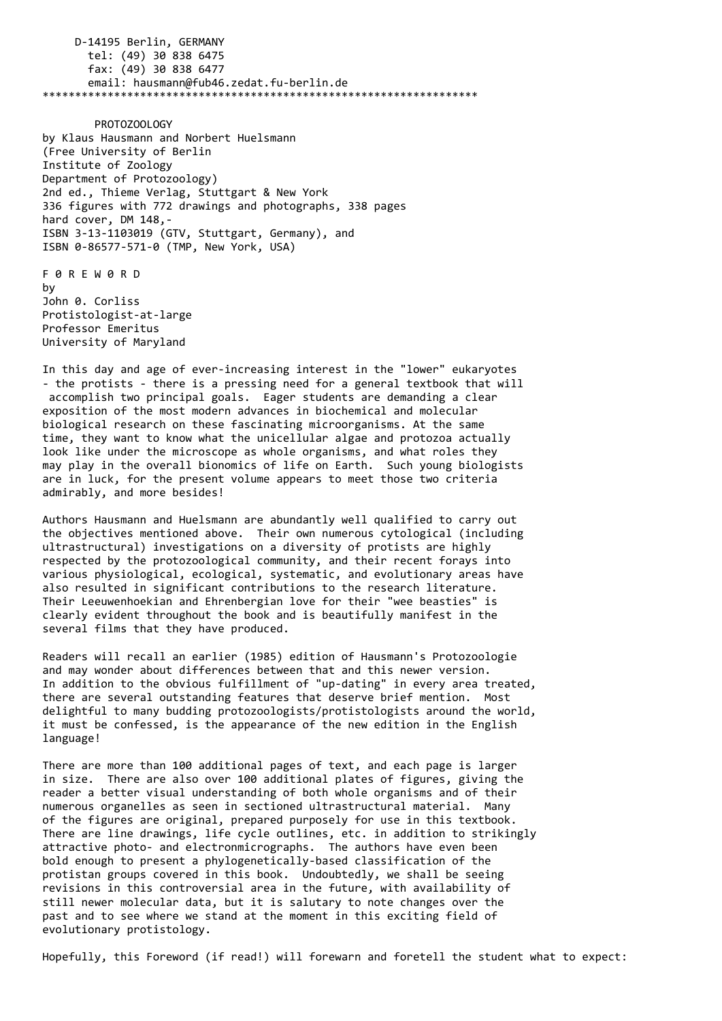D-14195 Berlin, GERMANY tel: (49) 30 838 6475 fax: (49) 30 838 6477 email: hausmann@fub46.zedat.fu-berlin.de \*\*\*\*\*\*\*\*\*\*\*\*\*\*\*\*\*\*\*\*\*\*\*\*\*\*\*\*\*\*\*\*\*\*\*\*\*\*\*\*\*\*\*\*\*\*\*\*\*\*\*\*\*\*\*\*\*\*\*\*\*\*\*\*\*\*\*

 PROTOZOOLOGY by Klaus Hausmann and Norbert Huelsmann (Free University of Berlin Institute of Zoology Department of Protozoology) 2nd ed., Thieme Verlag, Stuttgart & New York 336 figures with 772 drawings and photographs, 338 pages hard cover, DM 148,- ISBN 3-13-1103019 (GTV, Stuttgart, Germany), and ISBN 0-86577-571-0 (TMP, New York, USA)

F 0 R E W 0 R D by John 0. Corliss Protistologist-at-large Professor Emeritus University of Maryland

In this day and age of ever-increasing interest in the "lower" eukaryotes - the protists - there is a pressing need for a general textbook that will accomplish two principal goals. Eager students are demanding a clear exposition of the most modern advances in biochemical and molecular biological research on these fascinating microorganisms. At the same time, they want to know what the unicellular algae and protozoa actually look like under the microscope as whole organisms, and what roles they may play in the overall bionomics of life on Earth. Such young biologists are in luck, for the present volume appears to meet those two criteria admirably, and more besides!

Authors Hausmann and Huelsmann are abundantly well qualified to carry out the objectives mentioned above. Their own numerous cytological (including ultrastructural) investigations on a diversity of protists are highly respected by the protozoological community, and their recent forays into various physiological, ecological, systematic, and evolutionary areas have also resulted in significant contributions to the research literature. Their Leeuwenhoekian and Ehrenbergian love for their "wee beasties" is clearly evident throughout the book and is beautifully manifest in the several films that they have produced.

Readers will recall an earlier (1985) edition of Hausmann's Protozoologie and may wonder about differences between that and this newer version. In addition to the obvious fulfillment of "up-dating" in every area treated, there are several outstanding features that deserve brief mention. Most delightful to many budding protozoologists/protistologists around the world, it must be confessed, is the appearance of the new edition in the English language!

There are more than 100 additional pages of text, and each page is larger in size. There are also over 100 additional plates of figures, giving the reader a better visual understanding of both whole organisms and of their numerous organelles as seen in sectioned ultrastructural material. Many of the figures are original, prepared purposely for use in this textbook. There are line drawings, life cycle outlines, etc. in addition to strikingly attractive photo- and electronmicrographs. The authors have even been bold enough to present a phylogenetically-based classification of the protistan groups covered in this book. Undoubtedly, we shall be seeing revisions in this controversial area in the future, with availability of still newer molecular data, but it is salutary to note changes over the past and to see where we stand at the moment in this exciting field of evolutionary protistology.

Hopefully, this Foreword (if read!) will forewarn and foretell the student what to expect: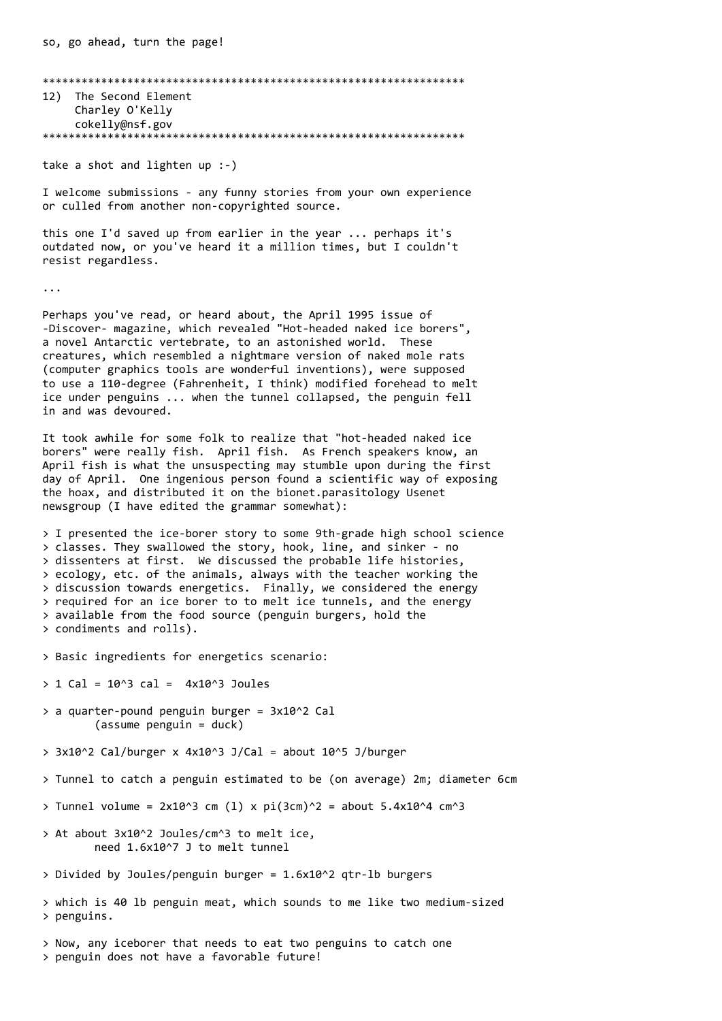\*\*\*\*\*\*\*\*\*\*\*\*\*\*\*\*\*\*\*\*\*\*\*\*\*\*\*\*\*\*\*\*\*\*\*\*\*\*\*\*\*\*\*\*\*\*\*\*\*\*\*\*\*\*\*\*\*\*\*\*\*\*\*\*\* 12) The Second Element Charley O'Kelly cokelly@nsf.gov \*\*\*\*\*\*\*\*\*\*\*\*\*\*\*\*\*\*\*\*\*\*\*\*\*\*\*\*\*\*\*\*\*\*\*\*\*\*\*\*\*\*\*\*\*\*\*\*\*\*\*\*\*\*\*\*\*\*\*\*\*\*\*\*\*

take a shot and lighten up :-)

I welcome submissions - any funny stories from your own experience or culled from another non-copyrighted source.

this one I'd saved up from earlier in the year ... perhaps it's outdated now, or you've heard it a million times, but I couldn't resist regardless.

...

Perhaps you've read, or heard about, the April 1995 issue of -Discover- magazine, which revealed "Hot-headed naked ice borers", a novel Antarctic vertebrate, to an astonished world. These creatures, which resembled a nightmare version of naked mole rats (computer graphics tools are wonderful inventions), were supposed to use a 110-degree (Fahrenheit, I think) modified forehead to melt ice under penguins ... when the tunnel collapsed, the penguin fell in and was devoured.

It took awhile for some folk to realize that "hot-headed naked ice borers" were really fish. April fish. As French speakers know, an April fish is what the unsuspecting may stumble upon during the first day of April. One ingenious person found a scientific way of exposing the hoax, and distributed it on the bionet.parasitology Usenet newsgroup (I have edited the grammar somewhat):

> I presented the ice-borer story to some 9th-grade high school science > classes. They swallowed the story, hook, line, and sinker - no > dissenters at first. We discussed the probable life histories, > ecology, etc. of the animals, always with the teacher working the > discussion towards energetics. Finally, we considered the energy > required for an ice borer to to melt ice tunnels, and the energy > available from the food source (penguin burgers, hold the > condiments and rolls).

> Basic ingredients for energetics scenario:

 $> 1$  Cal = 10^3 cal = 4x10^3 Joules

- > a quarter-pound penguin burger = 3x10^2 Cal (assume penguin = duck)
- $> 3x10^2$  Cal/burger x 4x10^3 J/Cal = about 10^5 J/burger

> Tunnel to catch a penguin estimated to be (on average) 2m; diameter 6cm

- > Tunnel volume =  $2x10^3$  cm (1) x pi(3cm)^2 = about 5.4x10^4 cm^3
- > At about 3x10^2 Joules/cm^3 to melt ice, need 1.6x10^7 J to melt tunnel
- > Divided by Joules/penguin burger = 1.6x10^2 qtr-lb burgers
- > which is 40 lb penguin meat, which sounds to me like two medium-sized > penguins.

> Now, any iceborer that needs to eat two penguins to catch one > penguin does not have a favorable future!